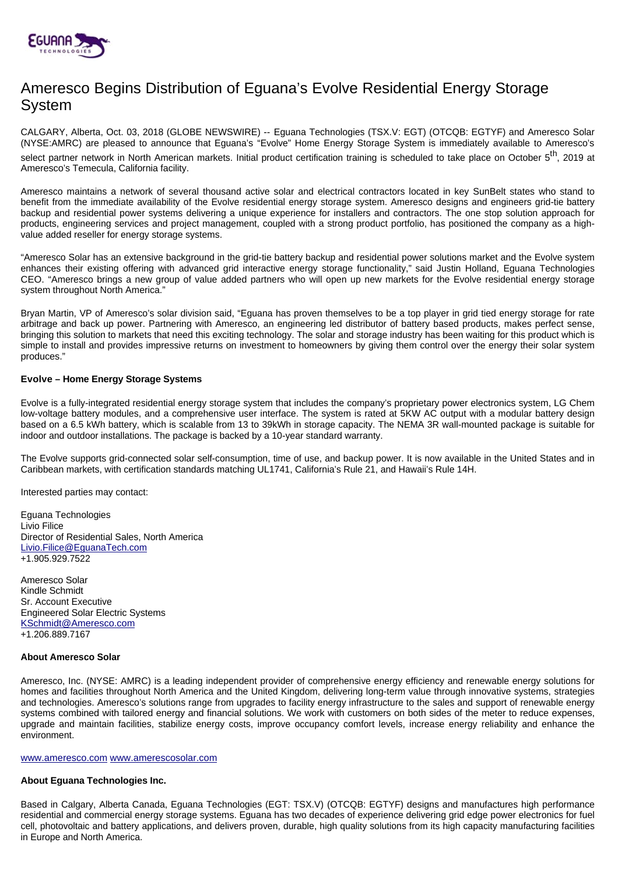

# Ameresco Begins Distribution of Eguana's Evolve Residential Energy Storage System

CALGARY, Alberta, Oct. 03, 2018 (GLOBE NEWSWIRE) -- Eguana Technologies (TSX.V: EGT) (OTCQB: EGTYF) and Ameresco Solar (NYSE:AMRC) are pleased to announce that Eguana's "Evolve" Home Energy Storage System is immediately available to Ameresco's select partner network in North American markets. Initial product certification training is scheduled to take place on October 5<sup>th</sup>. 2019 at Ameresco's Temecula, California facility.

Ameresco maintains a network of several thousand active solar and electrical contractors located in key SunBelt states who stand to benefit from the immediate availability of the Evolve residential energy storage system. Ameresco designs and engineers grid-tie battery backup and residential power systems delivering a unique experience for installers and contractors. The one stop solution approach for products, engineering services and project management, coupled with a strong product portfolio, has positioned the company as a highvalue added reseller for energy storage systems.

"Ameresco Solar has an extensive background in the grid-tie battery backup and residential power solutions market and the Evolve system enhances their existing offering with advanced grid interactive energy storage functionality," said Justin Holland, Eguana Technologies CEO. "Ameresco brings a new group of value added partners who will open up new markets for the Evolve residential energy storage system throughout North America."

Bryan Martin, VP of Ameresco's solar division said, "Eguana has proven themselves to be a top player in grid tied energy storage for rate arbitrage and back up power. Partnering with Ameresco, an engineering led distributor of battery based products, makes perfect sense, bringing this solution to markets that need this exciting technology. The solar and storage industry has been waiting for this product which is simple to install and provides impressive returns on investment to homeowners by giving them control over the energy their solar system produces."

## **Evolve – Home Energy Storage Systems**

Evolve is a fully-integrated residential energy storage system that includes the company's proprietary power electronics system, LG Chem low-voltage battery modules, and a comprehensive user interface. The system is rated at 5KW AC output with a modular battery design based on a 6.5 kWh battery, which is scalable from 13 to 39kWh in storage capacity. The NEMA 3R wall-mounted package is suitable for indoor and outdoor installations. The package is backed by a 10-year standard warranty.

The Evolve supports grid-connected solar self-consumption, time of use, and backup power. It is now available in the United States and in Caribbean markets, with certification standards matching UL1741, California's Rule 21, and Hawaii's Rule 14H.

Interested parties may contact:

Eguana Technologies Livio Filice Director of Residential Sales, North America [Livio.Filice@EguanaTech.com](mailto:Livio.Filice@EguanaTech.com) +1.905.929.7522

Ameresco Solar Kindle Schmidt Sr. Account Executive Engineered Solar Electric Systems [KSchmidt@Ameresco.com](mailto:KSchmidt@Ameresco.com) +1.206.889.7167

## **About Ameresco Solar**

Ameresco, Inc. (NYSE: AMRC) is a leading independent provider of comprehensive energy efficiency and renewable energy solutions for homes and facilities throughout North America and the United Kingdom, delivering long-term value through innovative systems, strategies and technologies. Ameresco's solutions range from upgrades to facility energy infrastructure to the sales and support of renewable energy systems combined with tailored energy and financial solutions. We work with customers on both sides of the meter to reduce expenses, upgrade and maintain facilities, stabilize energy costs, improve occupancy comfort levels, increase energy reliability and enhance the environment.

## [www.ameresco.com](http://www.ameresco.com/) [www.amerescosolar.com](http://www.amerescosolar.com/)

## **About Eguana Technologies Inc.**

Based in Calgary, Alberta Canada, Eguana Technologies (EGT: TSX.V) (OTCQB: EGTYF) designs and manufactures high performance residential and commercial energy storage systems. Eguana has two decades of experience delivering grid edge power electronics for fuel cell, photovoltaic and battery applications, and delivers proven, durable, high quality solutions from its high capacity manufacturing facilities in Europe and North America.